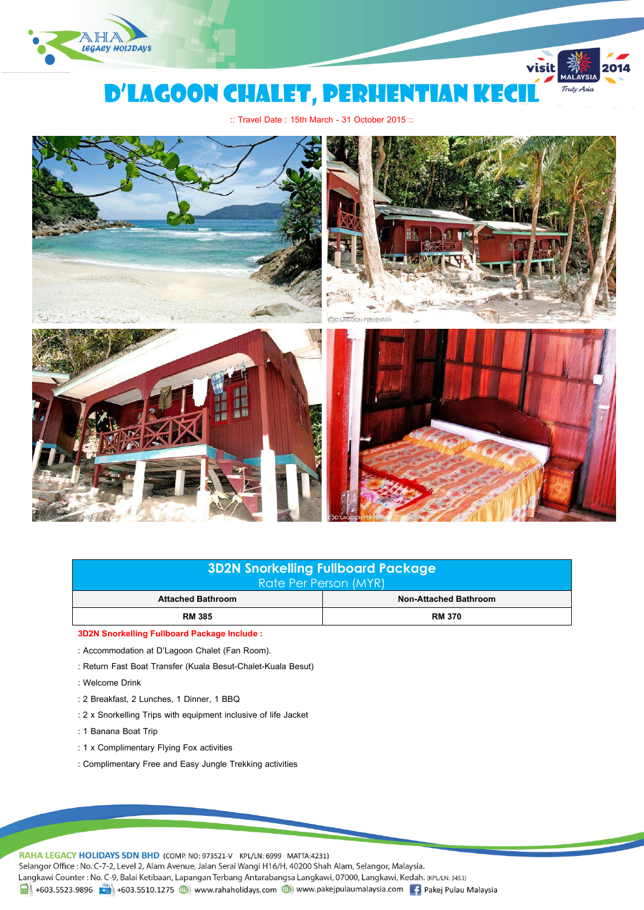

# D'LAGOON CHALET, PERHENTIAN KECI

visit

Truly Asia

:: Travel Date : 15th March - 31 October 2015 ::



| 3D2N Snorkelling Fullboard Package<br><b>Rate Per Person (MYR)</b> |                       |  |  |
|--------------------------------------------------------------------|-----------------------|--|--|
| <b>Attached Bathroom</b>                                           | Non-Attached Bathroom |  |  |
| <b>RM 385</b>                                                      | <b>RM 370</b>         |  |  |

**3D2N Snorkelling Fullboard Package Include :** 

- : Accommodation at D'Lagoon Chalet (Fan Room).
- : Return Fast Boat Transfer (Kuala Besut-Chalet-Kuala Besut)
- : Welcome Drink
- : 2 Breakfast, 2 Lunches, 1 Dinner, 1 BBQ
- : 2 x Snorkelling Trips with equipment inclusive of life Jacket
- : 1 Banana Boat Trip
- : 1 x Complimentary Flying Fox activities
- : Complimentary Free and Easy Jungle Trekking activities

RAHA LEGACY HOLIDAYS SDN BHD (COMP. NO: 973521-V KPL/LN: 6999 MATTA:4231)

Selangor Office : No. C-7-2, Level 2, Alam Avenue, Jalan Serai Wangi H16/H, 40200 Shah Alam, Selangor, Malaysia.

Langkawi Counter: No. C-9, Balai Ketibaan, Lapangan Terbang Antarabangsa Langkawi, 07000, Langkawi, Kedah. (KPL/LN: 3453)

1 +603.5523.9896 + +603.5510.1275 (b) www.rahaholidays.com (b) www.pakejpulaumalaysia.com (f) Pakej Pulau Malaysia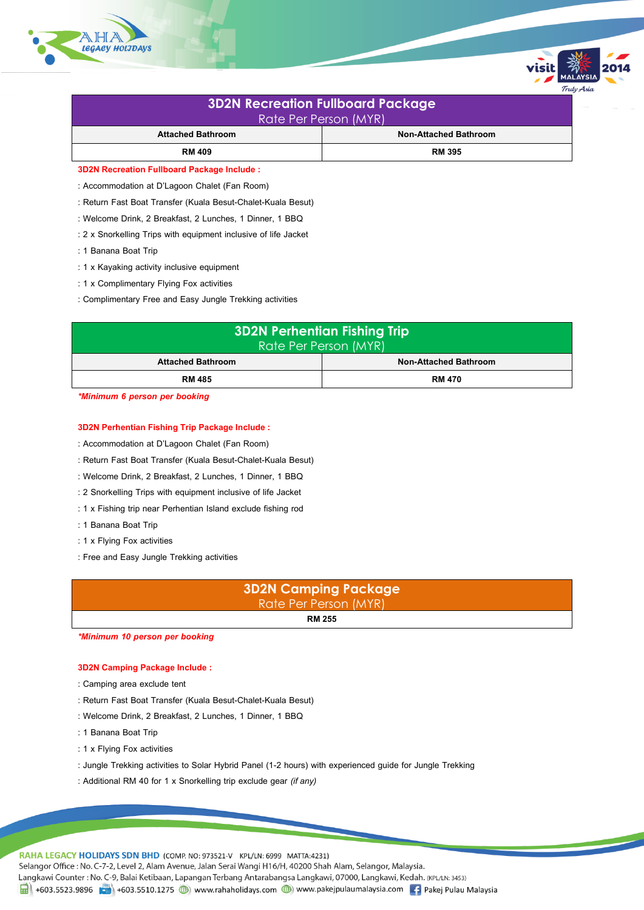

| <b>3D2N Recreation Fullboard Package</b><br>Rate Per Person (MYR) |                              |  |  |
|-------------------------------------------------------------------|------------------------------|--|--|
| <b>Attached Bathroom</b>                                          | <b>Non-Attached Bathroom</b> |  |  |
| <b>RM 409</b>                                                     | <b>RM 395</b>                |  |  |
| <b>3D2N Recreation Fullboard Package Include:</b>                 |                              |  |  |

rulv Asio

- : Accommodation at D'Lagoon Chalet (Fan Room)
- : Return Fast Boat Transfer (Kuala Besut-Chalet-Kuala Besut)
- : Welcome Drink, 2 Breakfast, 2 Lunches, 1 Dinner, 1 BBQ
- : 2 x Snorkelling Trips with equipment inclusive of life Jacket
- : 1 Banana Boat Trip
- : 1 x Kayaking activity inclusive equipment
- : 1 x Complimentary Flying Fox activities
- : Complimentary Free and Easy Jungle Trekking activities

| <b>3D2N Perhentian Fishing Trip</b><br>Rate Per Person (MYR) |                              |  |  |
|--------------------------------------------------------------|------------------------------|--|--|
| <b>Attached Bathroom</b>                                     | <b>Non-Attached Bathroom</b> |  |  |
| <b>RM 485</b>                                                | <b>RM 470</b>                |  |  |

*\*Minimum 6 person per booking*

# **3D2N Perhentian Fishing Trip Package Include:**

- : Accommodation at D'Lagoon Chalet (Fan Room)
- : Return Fast Boat Transfer (Kuala Besut-Chalet-Kuala Besut)
- : Welcome Drink, 2 Breakfast, 2 Lunches, 1 Dinner, 1 BBQ
- : 2 Snorkelling Trips with equipment inclusive of life Jacket
- : 1 x Fishing trip near Perhentian Island exclude fishing rod
- : 1 Banana Boat Trip
- : 1 x Flying Fox activities
- : Free and Easy Jungle Trekking activities



*\*Minimum 10 person per booking*

# **3D2N Camping Package Include :**

- : Camping area exclude tent
- : Return Fast Boat Transfer (Kuala Besut-Chalet-Kuala Besut)
- : Welcome Drink, 2 Breakfast, 2 Lunches, 1 Dinner, 1 BBQ
- : 1 Banana Boat Trip
- : 1 x Flying Fox activities
- : Jungle Trekking activities to Solar Hybrid Panel (1-2 hours) with experienced guide for Jungle Trekking
- : Additional RM 40 for 1 x Snorkelling trip exclude gear *(if any)*

RAHA LEGACY HOLIDAYS SDN BHD (COMP. NO: 973521-V KPL/LN: 6999 MATTA:4231)

Selangor Office : No. C-7-2, Level 2, Alam Avenue, Jalan Serai Wangi H16/H, 40200 Shah Alam, Selangor, Malaysia.

Langkawi Counter: No. C-9, Balai Ketibaan, Lapangan Terbang Antarabangsa Langkawi, 07000, Langkawi, Kedah. (KPL/LN: 3453)

1 +603.5523.9896 + +603.5510.1275 (b) www.rahaholidays.com (b) www.pakejpulaumalaysia.com + Pakej Pulau Malaysia